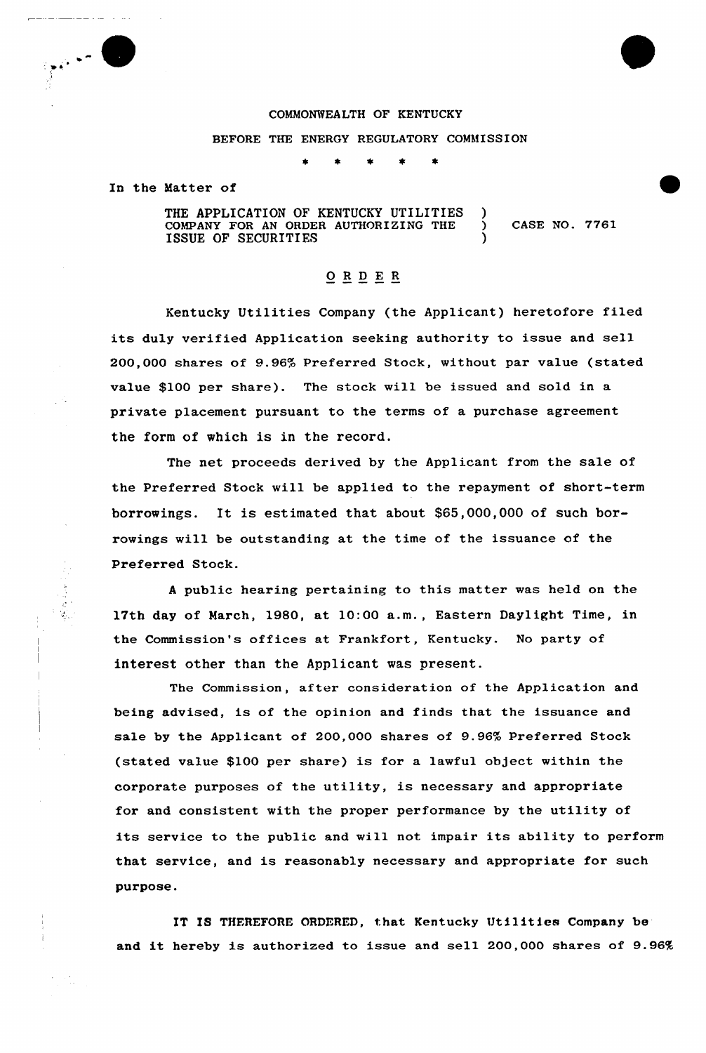

## COMMONWEALTH OF KENTUCKY

## BEFORE THE ENERGY REGULATORY COMMISSION

In the Matter of

THE APPLICATION OF KENTUCKY UTILITIES COMPANY FOR AN ORDER AUTHORIZING THE  $\bigcirc$  CASE NO. 7761 ISSUE OF SECURITIES )

## ORDER

Kentucky Utilities Company (the Applicant) heretofore filed its duly verified Application seeking authority to issue and sell 200,000 shares of 9.96% Preferred Stock, without par value (stated value \$100 per share). The stock will be issued and sold in a private placement pursuant to the terms of a purchase agreement the form of which is in the record.

The net proceeds derived by the Applicant from the sale of the Preferred Stock will be applied to the repayment of short-term borrowings. It is estimated that about \$65,000,000 of such borrowings will be outstanding at the time of the issuance of the Preferred Stock.

<sup>A</sup> public hearing pertaining to this matter was held on the 17th day of March, 1980, at 10:00 a.m., Eastern Daylight Time, in the Commission's offices at Frankfort, Kentucky. No party of interest other than the Applicant was present.

The Commission, after consideration of the Application and being advised, is of the opinion and finds that the issuance and sale by the Applicant of 200,000 shares of 9.96% Preferred Stock (stated value \$100 per share) is for a lawful object within the corporate purposes of the utility, is necessary and appropriate for and consistent with the proper performance by the utility of its service to the public and will not impair its ability to perform that service, and is reasonably necessary and appropriate for such purpose.

IT IS THEREFORE ORDERED, that Kentucky Utilities Company be and it hereby is authorized to issue and sell 200,000 shares of 9.96%